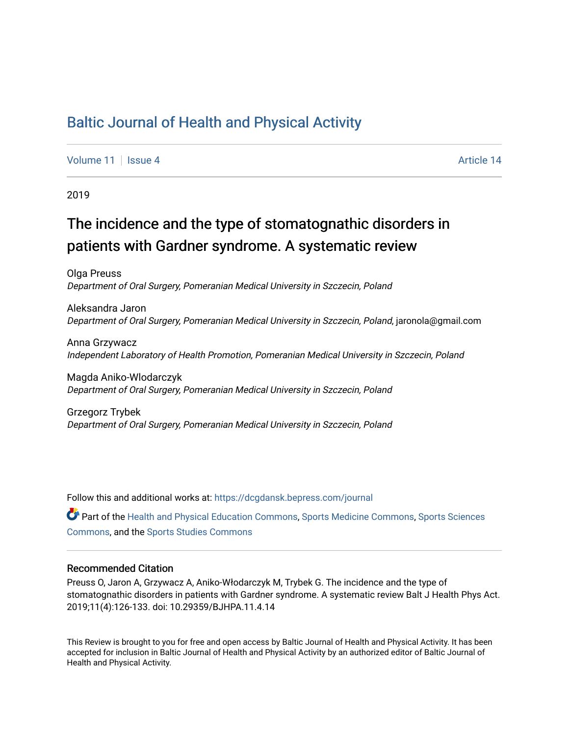## [Baltic Journal of Health and Physical Activity](https://dcgdansk.bepress.com/journal)

[Volume 11](https://dcgdansk.bepress.com/journal/vol11) | [Issue 4](https://dcgdansk.bepress.com/journal/vol11/iss4) Article 14

2019

# The incidence and the type of stomatognathic disorders in patients with Gardner syndrome. A systematic review

Olga Preuss Department of Oral Surgery, Pomeranian Medical University in Szczecin, Poland

Aleksandra Jaron Department of Oral Surgery, Pomeranian Medical University in Szczecin, Poland, jaronola@gmail.com

Anna Grzywacz Independent Laboratory of Health Promotion, Pomeranian Medical University in Szczecin, Poland

Magda Aniko-Wlodarczyk Department of Oral Surgery, Pomeranian Medical University in Szczecin, Poland

Grzegorz Trybek Department of Oral Surgery, Pomeranian Medical University in Szczecin, Poland

Follow this and additional works at: [https://dcgdansk.bepress.com/journal](https://dcgdansk.bepress.com/journal?utm_source=dcgdansk.bepress.com%2Fjournal%2Fvol11%2Fiss4%2F14&utm_medium=PDF&utm_campaign=PDFCoverPages)

Part of the [Health and Physical Education Commons](http://network.bepress.com/hgg/discipline/1327?utm_source=dcgdansk.bepress.com%2Fjournal%2Fvol11%2Fiss4%2F14&utm_medium=PDF&utm_campaign=PDFCoverPages), [Sports Medicine Commons,](http://network.bepress.com/hgg/discipline/1331?utm_source=dcgdansk.bepress.com%2Fjournal%2Fvol11%2Fiss4%2F14&utm_medium=PDF&utm_campaign=PDFCoverPages) [Sports Sciences](http://network.bepress.com/hgg/discipline/759?utm_source=dcgdansk.bepress.com%2Fjournal%2Fvol11%2Fiss4%2F14&utm_medium=PDF&utm_campaign=PDFCoverPages) [Commons](http://network.bepress.com/hgg/discipline/759?utm_source=dcgdansk.bepress.com%2Fjournal%2Fvol11%2Fiss4%2F14&utm_medium=PDF&utm_campaign=PDFCoverPages), and the [Sports Studies Commons](http://network.bepress.com/hgg/discipline/1198?utm_source=dcgdansk.bepress.com%2Fjournal%2Fvol11%2Fiss4%2F14&utm_medium=PDF&utm_campaign=PDFCoverPages) 

#### Recommended Citation

Preuss O, Jaron A, Grzywacz A, Aniko-Włodarczyk M, Trybek G. The incidence and the type of stomatognathic disorders in patients with Gardner syndrome. A systematic review Balt J Health Phys Act. 2019;11(4):126-133. doi: 10.29359/BJHPA.11.4.14

This Review is brought to you for free and open access by Baltic Journal of Health and Physical Activity. It has been accepted for inclusion in Baltic Journal of Health and Physical Activity by an authorized editor of Baltic Journal of Health and Physical Activity.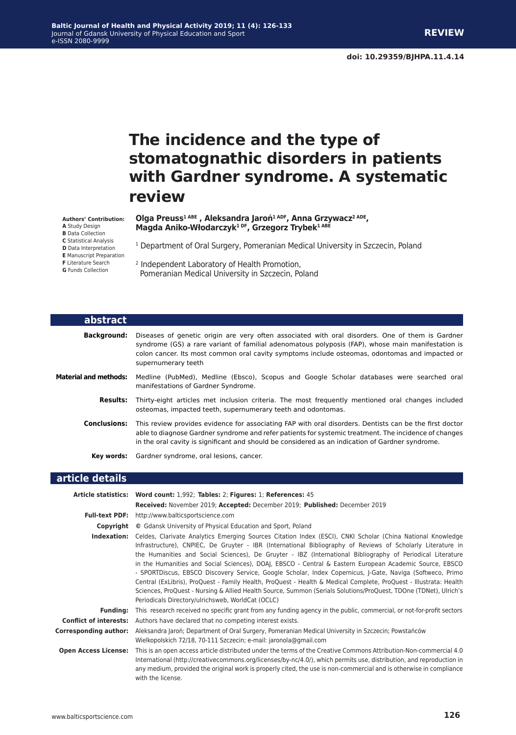# **The incidence and the type of stomatognathic disorders in patients with Gardner syndrome. A systematic review**

#### **Olga Preuss1 ABE , Aleksandra Jaroń1 ADF, Anna Grzywacz2 ADE, Magda Aniko-Włodarczyk1 DF, Grzegorz Trybek1 ABE**

<sup>1</sup> Department of Oral Surgery, Pomeranian Medical University in Szczecin, Poland

2 Independent Laboratory of Health Promotion, Pomeranian Medical University in Szczecin, Poland

| abstract                     |                                                                                                                                                                                                                                                                                                                                |
|------------------------------|--------------------------------------------------------------------------------------------------------------------------------------------------------------------------------------------------------------------------------------------------------------------------------------------------------------------------------|
| <b>Background:</b>           | Diseases of genetic origin are very often associated with oral disorders. One of them is Gardner<br>syndrome (GS) a rare variant of familial adenomatous polyposis (FAP), whose main manifestation is<br>colon cancer. Its most common oral cavity symptoms include osteomas, odontomas and impacted or<br>supernumerary teeth |
| <b>Material and methods:</b> | Medline (PubMed), Medline (Ebsco), Scopus and Google Scholar databases were searched oral<br>manifestations of Gardner Syndrome.                                                                                                                                                                                               |
| <b>Results:</b>              | Thirty-eight articles met inclusion criteria. The most frequently mentioned oral changes included<br>osteomas, impacted teeth, supernumerary teeth and odontomas.                                                                                                                                                              |
| <b>Conclusions:</b>          | This review provides evidence for associating FAP with oral disorders. Dentists can be the first doctor<br>able to diagnose Gardner syndrome and refer patients for systemic treatment. The incidence of changes<br>in the oral cavity is significant and should be considered as an indication of Gardner syndrome.           |
| Key words:                   | Gardner syndrome, oral lesions, cancer.                                                                                                                                                                                                                                                                                        |

#### **article details**

|                               | Article statistics: Word count: 1,992; Tables: 2; Figures: 1; References: 45                                                                                                                                                                                                                                                                                                                                                                                                                                                                                                                                                                                                                                                                                                                                                                                  |  |  |
|-------------------------------|---------------------------------------------------------------------------------------------------------------------------------------------------------------------------------------------------------------------------------------------------------------------------------------------------------------------------------------------------------------------------------------------------------------------------------------------------------------------------------------------------------------------------------------------------------------------------------------------------------------------------------------------------------------------------------------------------------------------------------------------------------------------------------------------------------------------------------------------------------------|--|--|
|                               | Received: November 2019; Accepted: December 2019; Published: December 2019                                                                                                                                                                                                                                                                                                                                                                                                                                                                                                                                                                                                                                                                                                                                                                                    |  |  |
|                               | <b>Full-text PDF:</b> http://www.balticsportscience.com                                                                                                                                                                                                                                                                                                                                                                                                                                                                                                                                                                                                                                                                                                                                                                                                       |  |  |
| Copyright                     | © Gdansk University of Physical Education and Sport, Poland                                                                                                                                                                                                                                                                                                                                                                                                                                                                                                                                                                                                                                                                                                                                                                                                   |  |  |
| Indexation:                   | Celdes, Clarivate Analytics Emerging Sources Citation Index (ESCI), CNKI Scholar (China National Knowledge<br>Infrastructure), CNPIEC, De Gruyter - IBR (International Bibliography of Reviews of Scholarly Literature in<br>the Humanities and Social Sciences), De Gruyter - IBZ (International Bibliography of Periodical Literature<br>in the Humanities and Social Sciences), DOAJ, EBSCO - Central & Eastern European Academic Source, EBSCO<br>- SPORTDiscus, EBSCO Discovery Service, Google Scholar, Index Copernicus, J-Gate, Naviga (Softweco, Primo<br>Central (ExLibris), ProQuest - Family Health, ProQuest - Health & Medical Complete, ProQuest - Illustrata: Health<br>Sciences, ProQuest - Nursing & Allied Health Source, Summon (Serials Solutions/ProQuest, TDOne (TDNet), Ulrich's<br>Periodicals Directory/ulrichsweb, WorldCat (OCLC) |  |  |
| <b>Funding:</b>               | This research received no specific grant from any funding agency in the public, commercial, or not-for-profit sectors                                                                                                                                                                                                                                                                                                                                                                                                                                                                                                                                                                                                                                                                                                                                         |  |  |
| <b>Conflict of interests:</b> | Authors have declared that no competing interest exists.                                                                                                                                                                                                                                                                                                                                                                                                                                                                                                                                                                                                                                                                                                                                                                                                      |  |  |
| <b>Corresponding author:</b>  | Aleksandra Jaroń; Department of Oral Surgery, Pomeranian Medical University in Szczecin; Powstańców<br>Wielkopolskich 72/18, 70-111 Szczecin; e-mail: jaronola@gmail.com                                                                                                                                                                                                                                                                                                                                                                                                                                                                                                                                                                                                                                                                                      |  |  |
|                               | Open Access License: This is an open access article distributed under the terms of the Creative Commons Attribution-Non-commercial 4.0<br>International (http://creativecommons.org/licenses/by-nc/4.0/), which permits use, distribution, and reproduction in<br>any medium, provided the original work is properly cited, the use is non-commercial and is otherwise in compliance<br>with the license.                                                                                                                                                                                                                                                                                                                                                                                                                                                     |  |  |

**A** Study Design **B** Data Collection **C** Statistical Analysis **D** Data Interpretation **E** Manuscript Preparation **F** Literature Search **G** Funds Collection

**Authors' Contribution:**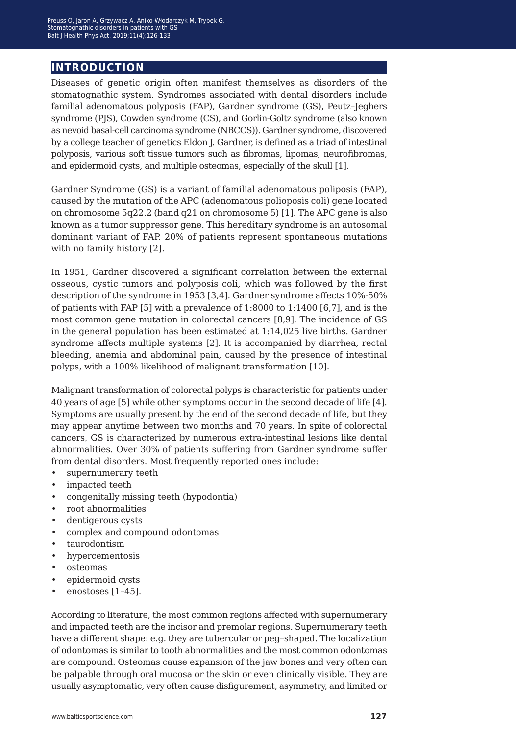## **introduction**

Diseases of genetic origin often manifest themselves as disorders of the stomatognathic system. Syndromes associated with dental disorders include familial adenomatous polyposis (FAP), Gardner syndrome (GS), Peutz–Jeghers syndrome (PJS), Cowden syndrome (CS), and Gorlin-Goltz syndrome (also known as nevoid basal-cell carcinoma syndrome (NBCCS)). Gardner syndrome, discovered by a college teacher of genetics Eldon J. Gardner, is defined as a triad of intestinal polyposis, various soft tissue tumors such as fibromas, lipomas, neurofibromas, and epidermoid cysts, and multiple osteomas, especially of the skull [1].

Gardner Syndrome (GS) is a variant of familial adenomatous poliposis (FAP), caused by the mutation of the APC (adenomatous polioposis coli) gene located on chromosome 5q22.2 (band q21 on chromosome 5) [1]. The APC gene is also known as a tumor suppressor gene. This hereditary syndrome is an autosomal dominant variant of FAP. 20% of patients represent spontaneous mutations with no family history [2].

In 1951, Gardner discovered a significant correlation between the external osseous, cystic tumors and polyposis coli, which was followed by the first description of the syndrome in 1953 [3,4]. Gardner syndrome affects 10%-50% of patients with FAP [5] with a prevalence of 1:8000 to 1:1400 [6,7], and is the most common gene mutation in colorectal cancers [8,9]. The incidence of GS in the general population has been estimated at 1:14,025 live births. Gardner syndrome affects multiple systems [2]. It is accompanied by diarrhea, rectal bleeding, anemia and abdominal pain, caused by the presence of intestinal polyps, with a 100% likelihood of malignant transformation [10].

Malignant transformation of colorectal polyps is characteristic for patients under 40 years of age [5] while other symptoms occur in the second decade of life [4]. Symptoms are usually present by the end of the second decade of life, but they may appear anytime between two months and 70 years. In spite of colorectal cancers, GS is characterized by numerous extra-intestinal lesions like dental abnormalities. Over 30% of patients suffering from Gardner syndrome suffer from dental disorders. Most frequently reported ones include:

- supernumerary teeth
- impacted teeth
- congenitally missing teeth (hypodontia)
- root abnormalities
- dentigerous cysts
- complex and compound odontomas
- taurodontism
- hypercementosis
- osteomas
- epidermoid cysts
- enostoses [1-45].

According to literature, the most common regions affected with supernumerary and impacted teeth are the incisor and premolar regions. Supernumerary teeth have a different shape: e.g. they are tubercular or peg–shaped. The localization of odontomas is similar to tooth abnormalities and the most common odontomas are compound. Osteomas cause expansion of the jaw bones and very often can be palpable through oral mucosa or the skin or even clinically visible. They are usually asymptomatic, very often cause disfigurement, asymmetry, and limited or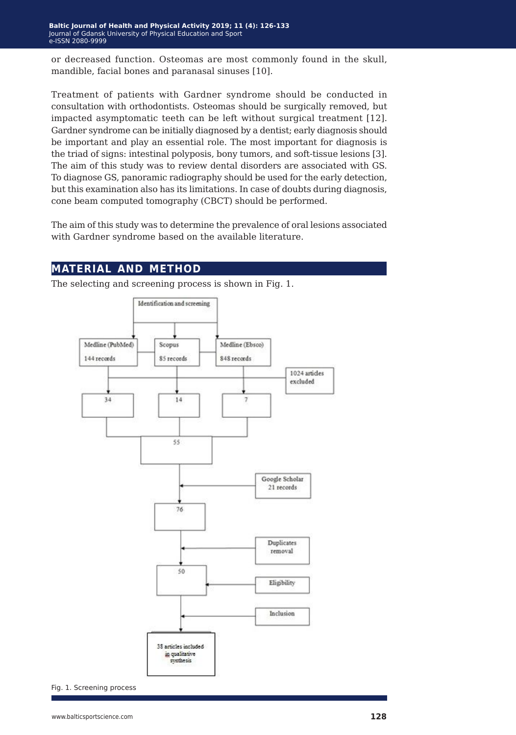or decreased function. Osteomas are most commonly found in the skull, mandible, facial bones and paranasal sinuses [10].

Treatment of patients with Gardner syndrome should be conducted in consultation with orthodontists. Osteomas should be surgically removed, but impacted asymptomatic teeth can be left without surgical treatment [12]. Gardner syndrome can be initially diagnosed by a dentist; early diagnosis should be important and play an essential role. The most important for diagnosis is the triad of signs: intestinal polyposis, bony tumors, and soft-tissue lesions [3]. The aim of this study was to review dental disorders are associated with GS. To diagnose GS, panoramic radiography should be used for the early detection, but this examination also has its limitations. In case of doubts during diagnosis, cone beam computed tomography (CBCT) should be performed.

The aim of this study was to determine the prevalence of oral lesions associated with Gardner syndrome based on the available literature.

## **material and method**

The selecting and screening process is shown in Fig. 1.



Fig. 1. Screening process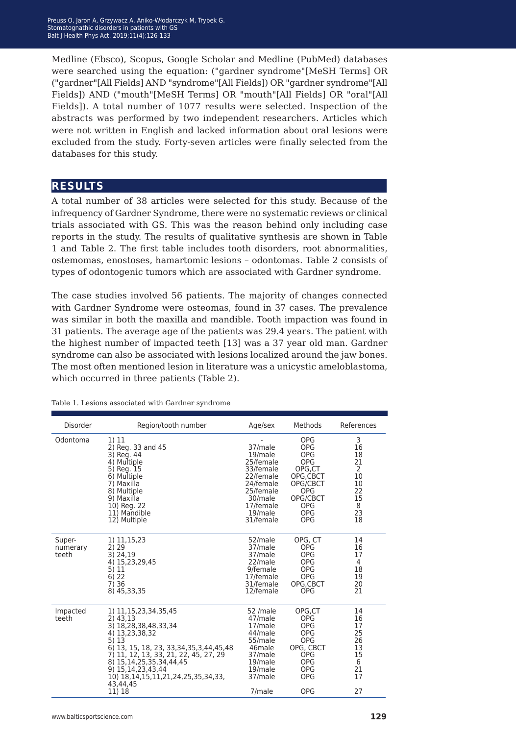Medline (Ebsco), Scopus, Google Scholar and Medline (PubMed) databases were searched using the equation: ("gardner syndrome"[MeSH Terms] OR ("gardner"[All Fields] AND "syndrome"[All Fields]) OR "gardner syndrome"[All Fields]) AND ("mouth"[MeSH Terms] OR "mouth"[All Fields] OR "oral"[All Fields]). A total number of 1077 results were selected. Inspection of the abstracts was performed by two independent researchers. Articles which were not written in English and lacked information about oral lesions were excluded from the study. Forty-seven articles were finally selected from the databases for this study.

## **results**

A total number of 38 articles were selected for this study. Because of the infrequency of Gardner Syndrome, there were no systematic reviews or clinical trials associated with GS. This was the reason behind only including case reports in the study. The results of qualitative synthesis are shown in Table 1 and Table 2. The first table includes tooth disorders, root abnormalities, ostemomas, enostoses, hamartomic lesions – odontomas. Table 2 consists of types of odontogenic tumors which are associated with Gardner syndrome.

The case studies involved 56 patients. The majority of changes connected with Gardner Syndrome were osteomas, found in 37 cases. The prevalence was similar in both the maxilla and mandible. Tooth impaction was found in 31 patients. The average age of the patients was 29.4 years. The patient with the highest number of impacted teeth [13] was a 37 year old man. Gardner syndrome can also be associated with lesions localized around the jaw bones. The most often mentioned lesion in literature was a unicystic ameloblastoma, which occurred in three patients (Table 2).

| Disorder                    | Region/tooth number                                                                                                                                                                                                                                                                                               | Age/sex                                                                                                                             | Methods                                                                                                                                                    | References                                                        |
|-----------------------------|-------------------------------------------------------------------------------------------------------------------------------------------------------------------------------------------------------------------------------------------------------------------------------------------------------------------|-------------------------------------------------------------------------------------------------------------------------------------|------------------------------------------------------------------------------------------------------------------------------------------------------------|-------------------------------------------------------------------|
| Odontoma                    | 1) 11<br>2) Reg. 33 and 45<br>3) Reg. 44<br>4) Multiple<br>5) Reg. 15<br>6) Multiple<br>7) Maxilla<br>8) Multiple<br>9) Maxilla<br>10) Reg. 22<br>11) Mandible<br>12) Multiple                                                                                                                                    | 37/male<br>19/male<br>25/female<br>33/female<br>22/female<br>24/female<br>25/female<br>30/male<br>17/female<br>19/male<br>31/female | <b>OPG</b><br><b>OPG</b><br><b>OPG</b><br><b>OPG</b><br>OPG,CT<br>OPG,CBCT<br>OPG/CBCT<br><b>OPG</b><br>OPG/CBCT<br><b>OPG</b><br><b>OPG</b><br><b>OPG</b> | 3<br>16<br>18<br>21<br>2<br>10<br>10<br>22<br>15<br>8<br>23<br>18 |
| Super-<br>numerary<br>teeth | 1) 11,15,23<br>2) 29<br>3) 24,19<br>4) 15,23,29,45<br>5) 11<br>6) 22<br>7)36<br>8) 45, 33, 35                                                                                                                                                                                                                     | 52/male<br>37/male<br>37/male<br>22/male<br>9/female<br>17/female<br>31/female<br>12/female                                         | OPG, CT<br><b>OPG</b><br><b>OPG</b><br><b>OPG</b><br><b>OPG</b><br><b>OPG</b><br>OPG.CBCT<br><b>OPG</b>                                                    | 14<br>16<br>17<br>4<br>18<br>19<br>20<br>21                       |
| Impacted<br>teeth           | 1) 11, 15, 23, 34, 35, 45<br>$2)$ 43,13<br>3) 18,28,38,48,33,34<br>4) 13,23,38,32<br>5)13<br>6) 13, 15, 18, 23, 33, 34, 35, 3, 44, 45, 48<br>7) 11, 12, 13, 33, 21, 22, 45, 27, 29<br>8) 15, 14, 25, 35, 34, 44, 45<br>9) 15, 14, 23, 43, 44<br>10) 18, 14, 15, 11, 21, 24, 25, 35, 34, 33,<br>43,44,45<br>11) 18 | 52 /male<br>47/male<br>17/male<br>44/male<br>55/male<br>46male<br>37/male<br>19/male<br>19/male<br>37/male<br>7/male                | OPG.CT<br>OPG<br><b>OPG</b><br><b>OPG</b><br><b>OPG</b><br>OPG, CBCT<br><b>OPG</b><br><b>OPG</b><br><b>OPG</b><br><b>OPG</b><br><b>OPG</b>                 | 14<br>16<br>17<br>25<br>26<br>13<br>15<br>6<br>21<br>17<br>27     |

Table 1. Lesions associated with Gardner syndrome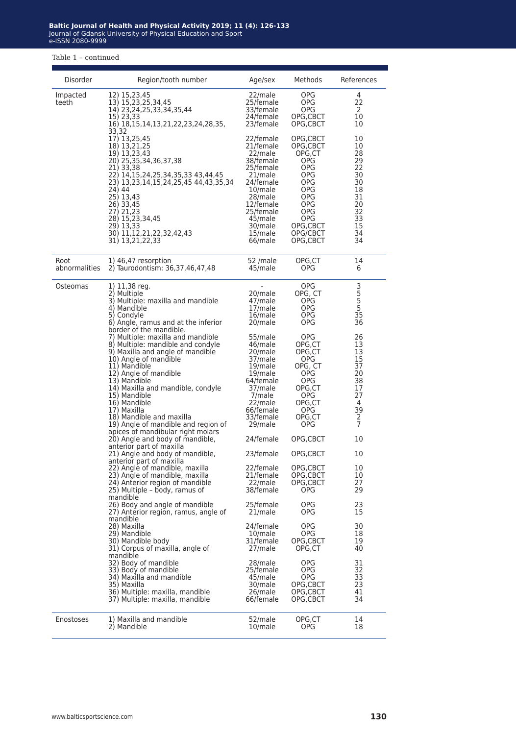#### Table 1 – continued

| Disorder              | Region/tooth number                                                                                                                                                                                                                                                                                                                                                                                                 | Age/sex                                                                                                                                                                         | Methods                                                                                                                           | References                                                                             |
|-----------------------|---------------------------------------------------------------------------------------------------------------------------------------------------------------------------------------------------------------------------------------------------------------------------------------------------------------------------------------------------------------------------------------------------------------------|---------------------------------------------------------------------------------------------------------------------------------------------------------------------------------|-----------------------------------------------------------------------------------------------------------------------------------|----------------------------------------------------------------------------------------|
| Impacted<br>teeth     | 12) 15,23,45<br>13) 15,23,25,34,45<br>14) 23, 24, 25, 33, 34, 35, 44<br>15) 23,33<br>16) 18, 15, 14, 13, 21, 22, 23, 24, 28, 35,<br>33,32                                                                                                                                                                                                                                                                           | 22/male<br>25/female<br>33/female<br>24/female<br>23/female                                                                                                                     | OPG<br>OPG<br>OPG<br>OPG,CBCT<br>OPG,CBCT                                                                                         | 4<br>22<br>2<br>10<br>10                                                               |
|                       | 17) 13,25,45<br>18) 13,21,25<br>19) 13,23,43<br>20) 25,35,34,36,37,38<br>21) 33,38<br>22) 14, 15, 24, 25, 34, 35, 33 43, 44, 45<br>23) 13,23,14,15,24,25,45 44,43,35,34<br>24) 44<br>25) 13,43<br>26) 33,45<br>27) 21,23<br>28) 15,23,34,45<br>29) 13,33<br>30) 11,12,21,22,32,42,43<br>31) 13,21,22,33                                                                                                             | 22/female<br>21/female<br>22/male<br>38/female<br>25/female<br>21/male<br>24/female<br>10/male<br>28/male<br>12/female<br>25/female<br>45/male<br>30/male<br>15/male<br>66/male | OPG,CBCT<br>OPG,CBCT<br>OPG,CT<br>OPG<br>OPG<br>OPG<br>OPG<br>OPG<br>OPG<br>OPG<br>OPG<br>OPG<br>OPG,CBCT<br>OPG/CBCT<br>OPG,CBCT | 10<br>10<br>28<br>29<br>22<br>30<br>30<br>18<br>31<br>20<br>32<br>33<br>15<br>34<br>34 |
| Root<br>abnormalities | 1) 46.47 resorption<br>2) Taurodontism: 36,37,46,47,48                                                                                                                                                                                                                                                                                                                                                              | 52 /male<br>45/male                                                                                                                                                             | OPG,CT<br>OPG                                                                                                                     | 14<br>6                                                                                |
| Osteomas              | 1) 11,38 reg.<br>2) Multiple<br>3) Multiple: maxilla and mandible<br>4) Mandible<br>5) Condyle<br>6) Angle, ramus and at the inferior                                                                                                                                                                                                                                                                               | 20/male<br>47/male<br>17/male<br>16/male<br>20/male                                                                                                                             | OPG<br>OPG, CT<br>OPG<br>OPG<br>OPG<br>OPG                                                                                        | 3<br>5<br>5<br>5<br>35<br>36                                                           |
|                       | border of the mandible.<br>7) Multiple: maxilla and mandible<br>8) Multiple: mandible and condyle<br>9) Maxilla and angle of mandible<br>10) Angle of mandible<br>11) Mandible<br>12) Angle of mandible<br>13) Mandible<br>14) Maxilla and mandible, condyle<br>15) Mandible<br>16) Mandible<br>17) Maxilla<br>18) Mandible and maxilla<br>19) Angle of mandible and region of<br>apices of mandibular right molars | 55/male<br>46/male<br>20/male<br>37/male<br>19/male<br>19/male<br>64/female<br>37/male<br>7/male<br>22/male<br>66/female<br>33/female<br>29/male                                | OPG<br>OPG,CT<br>OPG,CT<br>OPG<br>OPG, CT<br>OPG<br>OPG<br>OPG,CT<br>OPG.<br>OPG,CT<br>OPG.<br>OPG,CT<br>OPG                      | 26<br>13<br>13<br>15<br>37<br>20<br>38<br>17<br>27<br>4<br>39<br>$\frac{2}{7}$         |
|                       | 20) Angle and body of mandible,<br>anterior part of maxilla                                                                                                                                                                                                                                                                                                                                                         | 24/female                                                                                                                                                                       | OPG,CBCT                                                                                                                          | 10                                                                                     |
|                       | 21) Angle and body of mandible,<br>anterior part of maxilla<br>22) Angle of mandible, maxilla<br>23) Angle of mandible, maxilla<br>24) Anterior region of mandible<br>25) Multiple - body, ramus of                                                                                                                                                                                                                 | 23/female<br>22/female<br>21/female<br>22/male<br>38/female                                                                                                                     | OPG,CBCT<br>OPG, CBCT<br>OPG, CBCT<br>OPG,CBCT<br>OPG                                                                             | 10<br>10<br>10<br>27<br>29                                                             |
|                       | mandible<br>26) Body and angle of mandible<br>27) Anterior region, ramus, angle of                                                                                                                                                                                                                                                                                                                                  | 25/female<br>21/male                                                                                                                                                            | OPG.<br>OPG                                                                                                                       | 23<br>15                                                                               |
|                       | mandible<br>28) Maxilla<br>29) Mandible<br>30) Mandible body<br>31) Corpus of maxilla, angle of<br>mandible                                                                                                                                                                                                                                                                                                         | 24/female<br>10/male<br>31/female<br>27/male                                                                                                                                    | <b>OPG</b><br>OPG<br>OPG, CBCT<br>OPG,CT                                                                                          | 30<br>18<br>19<br>40                                                                   |
|                       | 32) Body of mandible<br>33) Body of mandible<br>34) Maxilla and mandible<br>35) Maxilla<br>36) Multiple: maxilla, mandible<br>37) Multiple: maxilla, mandible                                                                                                                                                                                                                                                       | 28/male<br>25/female<br>45/male<br>30/male<br>26/male<br>66/female                                                                                                              | OPG<br>OPG<br>OPG<br>OPG,CBCT<br>OPG,CBCT<br>OPG,CBCT                                                                             | 31<br>32<br>33<br>23<br>41<br>34                                                       |
| Enostoses             | 1) Maxilla and mandible<br>2) Mandible                                                                                                                                                                                                                                                                                                                                                                              | 52/male<br>10/male                                                                                                                                                              | OPG,CT<br>OPG                                                                                                                     | 14<br>18                                                                               |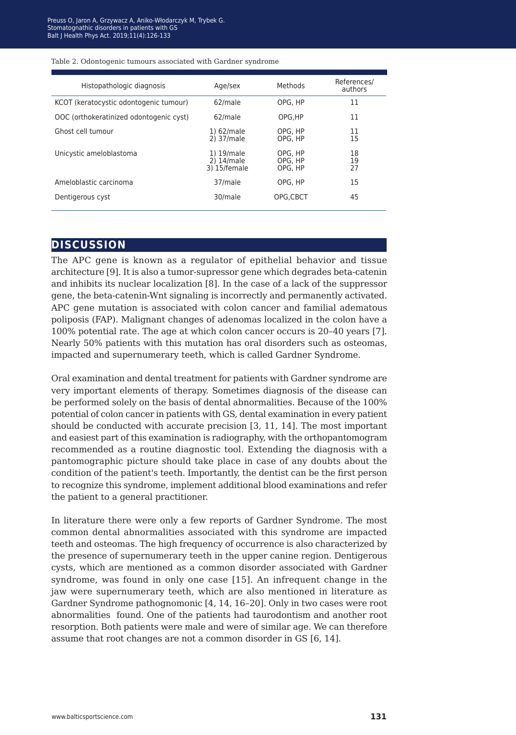#### Table 2. Odontogenic tumours associated with Gardner syndrome

| Histopathologic diagnosis               | Age/sex                                  | Methods                       | References/<br>authors |
|-----------------------------------------|------------------------------------------|-------------------------------|------------------------|
| KCOT (keratocystic odontogenic tumour)  | 62/male                                  | OPG, HP                       | 11                     |
| OOC (orthokeratinized odontogenic cyst) | 62/male                                  | OPG.HP                        | 11                     |
| Ghost cell tumour                       | 1) 62/male<br>2) 37/male                 | OPG, HP<br>OPG, HP            | 11<br>15               |
| Unicystic ameloblastoma                 | 1) 19/male<br>2) 14/male<br>3) 15/female | OPG, HP<br>OPG, HP<br>OPG, HP | 18<br>19<br>27         |
| Ameloblastic carcinoma                  | 37/male                                  | OPG, HP                       | 15                     |
| Dentigerous cyst                        | 30/male                                  | OPG.CBCT                      | 45                     |

### **discussion**

The APC gene is known as a regulator of epithelial behavior and tissue architecture [9]. It is also a tumor-supressor gene which degrades beta-catenin and inhibits its nuclear localization [8]. In the case of a lack of the suppressor gene, the beta-catenin-Wnt signaling is incorrectly and permanently activated. APC gene mutation is associated with colon cancer and familial adematous poliposis (FAP). Malignant changes of adenomas localized in the colon have a 100% potential rate. The age at which colon cancer occurs is 20–40 years [7]. Nearly 50% patients with this mutation has oral disorders such as osteomas, impacted and supernumerary teeth, which is called Gardner Syndrome.

Oral examination and dental treatment for patients with Gardner syndrome are very important elements of therapy. Sometimes diagnosis of the disease can be performed solely on the basis of dental abnormalities. Because of the 100% potential of colon cancer in patients with GS, dental examination in every patient should be conducted with accurate precision [3, 11, 14]. The most important and easiest part of this examination is radiography, with the orthopantomogram recommended as a routine diagnostic tool. Extending the diagnosis with a pantomographic picture should take place in case of any doubts about the condition of the patient's teeth. Importantly, the dentist can be the first person to recognize this syndrome, implement additional blood examinations and refer the patient to a general practitioner.

In literature there were only a few reports of Gardner Syndrome. The most common dental abnormalities associated with this syndrome are impacted teeth and osteomas. The high frequency of occurrence is also characterized by the presence of supernumerary teeth in the upper canine region. Dentigerous cysts, which are mentioned as a common disorder associated with Gardner syndrome, was found in only one case [15]. An infrequent change in the jaw were supernumerary teeth, which are also mentioned in literature as Gardner Syndrome pathognomonic [4, 14, 16–20]. Only in two cases were root abnormalities found. One of the patients had taurodontism and another root resorption. Both patients were male and were of similar age. We can therefore assume that root changes are not a common disorder in GS [6, 14].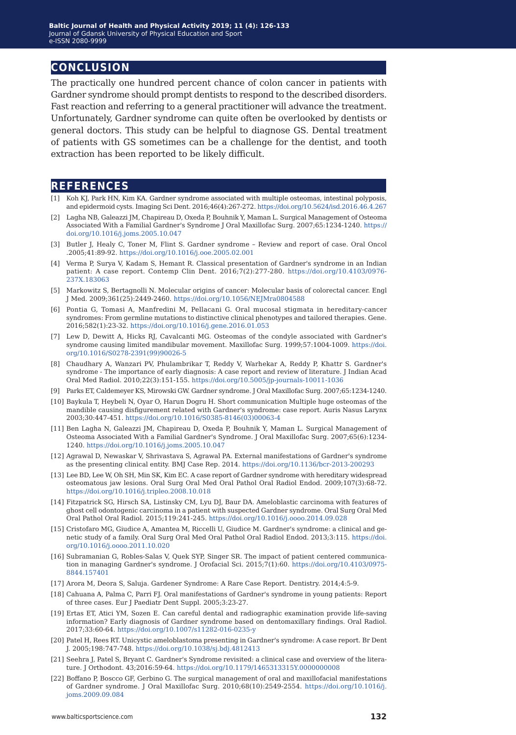## **conclusion**

The practically one hundred percent chance of colon cancer in patients with Gardner syndrome should prompt dentists to respond to the described disorders. Fast reaction and referring to a general practitioner will advance the treatment. Unfortunately, Gardner syndrome can quite often be overlooked by dentists or general doctors. This study can be helpful to diagnose GS. Dental treatment of patients with GS sometimes can be a challenge for the dentist, and tooth extraction has been reported to be likely difficult.

### **references**

- [1] Koh KJ, Park HN, Kim KA. Gardner syndrome associated with multiple osteomas, intestinal polyposis, and epidermoid cysts. Imaging Sci Dent. 2016;46(4):267-272. [https://doi.org/10.5624/isd.2016.46.4.267](https://doi.org/10.5624/isd.2016.46.4.267
)
- [2] Lagha NB, Galeazzi JM, Chapireau D, Oxeda P, Bouhnik Y, Maman L. Surgical Management of Osteoma Associated With a Familial Gardner's Syndrome J Oral Maxillofac Surg. 2007;65:1234-1240. [https://](https://doi.org/10.1016/j.joms.2005.10.047) [doi.org/10.1016/j.joms.2005.10.047](https://doi.org/10.1016/j.joms.2005.10.047)
- [3] Butler J, Healy C, Toner M, Flint S. Gardner syndrome Review and report of case. Oral Oncol .2005;41:89-92. <https://doi.org/10.1016/j.ooe.2005.02.001>
- [4] Verma P, Surya V, Kadam S, Hemant R. Classical presentation of Gardner's syndrome in an Indian patient: A case report. Contemp Clin Dent. 2016;7(2):277-280. [https://doi.org/10.4103/0976-](https://doi.org/10.4103/0976-237X.183063
) [237X.183063](https://doi.org/10.4103/0976-237X.183063
)
- [5] Markowitz S, Bertagnolli N. Molecular origins of cancer: Molecular basis of colorectal cancer. Engl J Med. 2009;361(25):2449-2460. <https://doi.org/10.1056/NEJMra0804588>
- [6] Pontia G, Tomasi A, Manfredini M, Pellacani G. Oral mucosal stigmata in hereditary-cancer syndromes: From germline mutations to distinctive clinical phenotypes and tailored therapies. Gene. 2016;582(1):23-32. <https://doi.org/10.1016/j.gene.2016.01.053>
- [7] Lew D, Dewitt A, Hicks RJ, Cavalcanti MG. Osteomas of the condyle associated with Gardner's syndrome causing limited mandibular movement. Maxillofac Surg. 1999;57:1004-1009. [https://doi.](https://doi.org/10.1016/S0278-2391(99)90026-5) [org/10.1016/S0278-2391\(99\)90026-5](https://doi.org/10.1016/S0278-2391(99)90026-5)
- [8] Chaudhary A, Wanzari PV, Phulambrikar T, Reddy V, Warhekar A, Reddy P, Khattr S. Gardner's syndrome - The importance of early diagnosis: A case report and review of literature. J Indian Acad Oral Med Radiol. 2010;22(3):151-155. <https://doi.org/10.5005/jp-journals-10011-1036>
- [9] Parks ET, Caldemeyer KS, Mirowski GW. Gardner syndrome. J Oral Maxillofac Surg. 2007;65:1234-1240.
- [10] Baykula T, Heybeli N, Oyar O, Harun Dogru H. Short communication Multiple huge osteomas of the mandible causing disfigurement related with Gardner's syndrome: case report. Auris Nasus Larynx 2003;30:447-451. [https://doi.org/10.1016/S0385-8146\(03\)00063-4](https://doi.org/10.1016/S0385-8146(03)00063-4)
- [11] Ben Lagha N, Galeazzi JM, Chapireau D, Oxeda P, Bouhnik Y, Maman L. Surgical Management of Osteoma Associated With a Familial Gardner's Syndrome. J Oral Maxillofac Surg. 2007;65(6):1234- 1240. <https://doi.org/10.1016/j.joms.2005.10.047>
- [12] Agrawal D, Newaskar V, Shrivastava S, Agrawal PA. External manifestations of Gardner's syndrome as the presenting clinical entity. BMJ Case Rep. 2014.<https://doi.org/10.1136/bcr-2013-200293>
- [13] Lee BD, Lee W, Oh SH, Min SK, Kim EC. A case report of Gardner syndrome with hereditary widespread osteomatous jaw lesions. Oral Surg Oral Med Oral Pathol Oral Radiol Endod. 2009;107(3):68-72. <https://doi.org/10.1016/j.tripleo.2008.10.018>
- [14] Fitzpatrick SG, Hirsch SA, Listinsky CM, Lyu DJ, Baur DA. Ameloblastic carcinoma with features of ghost cell odontogenic carcinoma in a patient with suspected Gardner syndrome. Oral Surg Oral Med Oral Pathol Oral Radiol. 2015;119:241-245. [https://doi.org/10.1016/j.oooo.2014.09.028](https://doi.org/10.1016/j.oooo.2014.09.028
)
- [15] Cristofaro MG, Giudice A, Amantea M, Riccelli U, Giudice M. Gardner's syndrome: a clinical and genetic study of a family. Oral Surg Oral Med Oral Pathol Oral Radiol Endod. 2013;3:115. [https://doi.](https://doi.org/10.1016/j.oooo.2011.10.020
) [org/10.1016/j.oooo.2011.10.020](https://doi.org/10.1016/j.oooo.2011.10.020
)
- [16] Subramanian G, Robles-Salas V, Quek SYP, Singer SR. The impact of patient centered communication in managing Gardner's syndrome. J Orofacial Sci. 2015;7(1):60. [https://doi.org/10.4103/0975-](https://doi.org/10.4103/0975-8844.157401
) [8844.157401](https://doi.org/10.4103/0975-8844.157401
)
- [17] Arora M, Deora S, Saluja. Gardener Syndrome: A Rare Case Report. Dentistry. 2014;4:5-9.
- [18] Cahuana A, Palma C, Parri FJ. Oral manifestations of Gardner's syndrome in young patients: Report of three cases. Eur J Paediatr Dent Suppl. 2005;3:23-27.
- [19] Ertas ET, Atici YM, Sozen E. Can careful dental and radiographic examination provide life-saving information? Early diagnosis of Gardner syndrome based on dentomaxillary findings. Oral Radiol. 2017;33:60-64.<https://doi.org/10.1007/s11282-016-0235-y>
- [20] Patel H, Rees RT. Unicystic ameloblastoma presenting in Gardner's syndrome: A case report. Br Dent J. 2005;198:747-748. <https://doi.org/10.1038/sj.bdj.4812413>
- [21] Seehra J, Patel S, Bryant C. Gardner's Syndrome revisited: a clinical case and overview of the literature. J Orthodont. 43;2016:59-64. <https://doi.org/10.1179/1465313315Y.0000000008>
- [22] Boffano P, Boscco GF, Gerbino G. The surgical management of oral and maxillofacial manifestations of Gardner syndrome. J Oral Maxillofac Surg. 2010;68(10):2549-2554. [https://doi.org/10.1016/j.](https://doi.org/10.1016/j.joms.2009.09.084
) [joms.2009.09.084](https://doi.org/10.1016/j.joms.2009.09.084
)